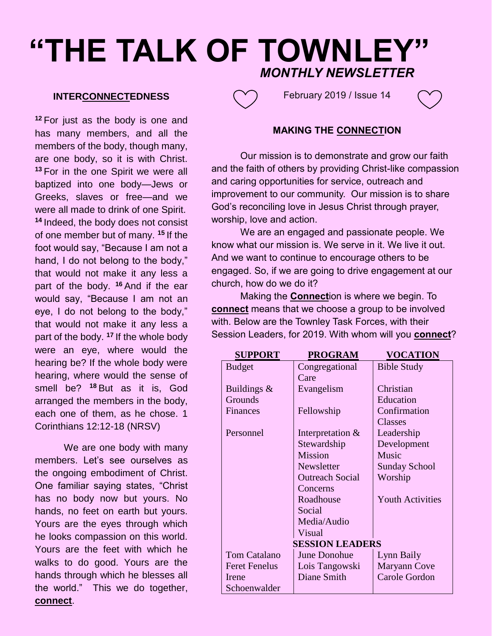# **"THE TALK OF TOWNLEY"** *MONTHLY NEWSLETTER*

#### **INTERCONNECTEDNESS**

**<sup>12</sup>** For just as the body is one and has many members, and all the members of the body, though many, are one body, so it is with Christ. **<sup>13</sup>** For in the one Spirit we were all baptized into one body—Jews or Greeks, slaves or free—and we were all made to drink of one Spirit. **<sup>14</sup>** Indeed, the body does not consist of one member but of many. **<sup>15</sup>** If the foot would say, "Because I am not a hand, I do not belong to the body," that would not make it any less a part of the body. **<sup>16</sup>** And if the ear would say, "Because I am not an eye, I do not belong to the body," that would not make it any less a part of the body. **<sup>17</sup>** If the whole body were an eye, where would the hearing be? If the whole body were hearing, where would the sense of smell be? **<sup>18</sup>** But as it is, God arranged the members in the body, each one of them, as he chose. 1 Corinthians 12:12-18 (NRSV)

We are one body with many members. Let's see ourselves as the ongoing embodiment of Christ. One familiar saying states, "Christ has no body now but yours. No hands, no feet on earth but yours. Yours are the eyes through which he looks compassion on this world. Yours are the feet with which he walks to do good. Yours are the hands through which he blesses all the world." This we do together, **connect**.



February 2019 / Issue 14



## **MAKING THE CONNECTION**

Our mission is to demonstrate and grow our faith and the faith of others by providing Christ-like compassion and caring opportunities for service, outreach and improvement to our community. Our mission is to share God's reconciling love in Jesus Christ through prayer, worship, love and action.

We are an engaged and passionate people. We know what our mission is. We serve in it. We live it out. And we want to continue to encourage others to be engaged. So, if we are going to drive engagement at our church, how do we do it?

Making the **Connect**ion is where we begin. To **connect** means that we choose a group to be involved with. Below are the Townley Task Forces, with their Session Leaders, for 2019. With whom will you **connect**?

| <b>SUPPORT</b>         | <b>PROGRAM</b>         | <b>VOCATION</b>         |  |  |  |  |  |
|------------------------|------------------------|-------------------------|--|--|--|--|--|
| <b>Budget</b>          | Congregational         | <b>Bible Study</b>      |  |  |  |  |  |
|                        | Care                   |                         |  |  |  |  |  |
| Buildings $\&$         | Evangelism             | Christian               |  |  |  |  |  |
| Grounds                |                        | Education               |  |  |  |  |  |
| Finances               | Fellowship             | Confirmation            |  |  |  |  |  |
|                        |                        | <b>Classes</b>          |  |  |  |  |  |
| Personnel              | Interpretation &       | Leadership              |  |  |  |  |  |
|                        | Stewardship            | Development             |  |  |  |  |  |
|                        | <b>Mission</b>         | Music                   |  |  |  |  |  |
|                        | Newsletter             | <b>Sunday School</b>    |  |  |  |  |  |
|                        | <b>Outreach Social</b> | Worship                 |  |  |  |  |  |
|                        | Concerns               |                         |  |  |  |  |  |
|                        | Roadhouse              | <b>Youth Activities</b> |  |  |  |  |  |
|                        | Social                 |                         |  |  |  |  |  |
|                        | Media/Audio            |                         |  |  |  |  |  |
|                        | Visual                 |                         |  |  |  |  |  |
| <b>SESSION LEADERS</b> |                        |                         |  |  |  |  |  |
| <b>Tom Catalano</b>    | <b>June Donohue</b>    | Lynn Baily              |  |  |  |  |  |
| <b>Feret Fenelus</b>   | Lois Tangowski         | <b>Maryann Cove</b>     |  |  |  |  |  |
| Irene                  | Diane Smith            | <b>Carole Gordon</b>    |  |  |  |  |  |
| Schoenwalder           |                        |                         |  |  |  |  |  |